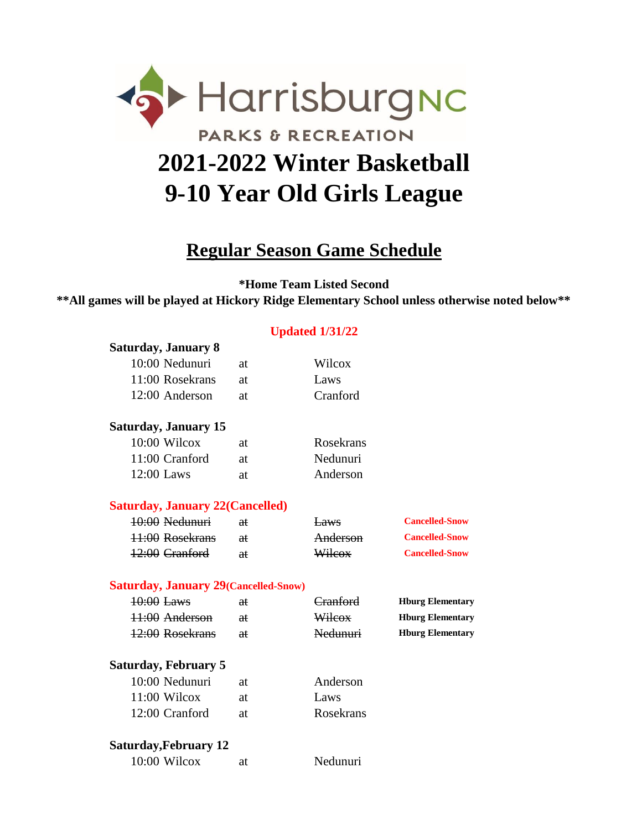

## **Regular Season Game Schedule**

**\*Home Team Listed Second**

**\*\*All games will be played at Hickory Ridge Elementary School unless otherwise noted below\*\***

## **Updated 1/31/22**

| <b>Saturday, January 8</b>                   |               |                 |                         |
|----------------------------------------------|---------------|-----------------|-------------------------|
| 10:00 Nedunuri                               | at            | Wilcox          |                         |
| 11:00 Rosekrans                              | at            | Laws            |                         |
| 12:00 Anderson                               | at            | Cranford        |                         |
| <b>Saturday, January 15</b>                  |               |                 |                         |
| 10:00 Wilcox                                 | at            | Rosekrans       |                         |
| 11:00 Cranford                               | at            | Nedunuri        |                         |
| 12:00 Laws                                   | at            | Anderson        |                         |
| <b>Saturday, January 22 (Cancelled)</b>      |               |                 |                         |
| 10:00 Nedunuri                               | aŧ            | <del>Laws</del> | <b>Cancelled-Snow</b>   |
| 11:00 Rosekrans                              | <del>at</del> | Anderson        | <b>Cancelled-Snow</b>   |
| 12:00 Cranford                               | <del>at</del> | Wilcox          | <b>Cancelled-Snow</b>   |
| <b>Saturday, January 29 (Cancelled-Snow)</b> |               |                 |                         |
| 10:00 Laws                                   | aŧ            | Cranford        | <b>Hburg Elementary</b> |
| 11:00 Anderson                               | <del>at</del> | Wilcox          | <b>Hburg Elementary</b> |
| 12:00 Rosekrans                              | aŧ            | Nedunuri        | <b>Hburg Elementary</b> |
| <b>Saturday, February 5</b>                  |               |                 |                         |
| 10:00 Nedunuri                               | at            | Anderson        |                         |
| $11:00$ Wilcox                               | at            | Laws            |                         |
| 12:00 Cranford                               | at            | Rosekrans       |                         |
| <b>Saturday, February 12</b>                 |               |                 |                         |
| 10:00 Wilcox                                 | at            | Nedunuri        |                         |